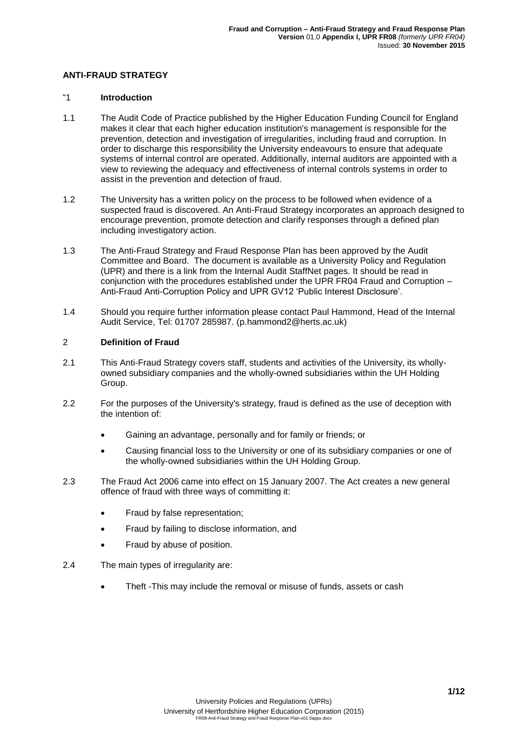## **ANTI-FRAUD STRATEGY**

#### "1 **Introduction**

- 1.1 The Audit Code of Practice published by the Higher Education Funding Council for England makes it clear that each higher education institution's management is responsible for the prevention, detection and investigation of irregularities, including fraud and corruption. In order to discharge this responsibility the University endeavours to ensure that adequate systems of internal control are operated. Additionally, internal auditors are appointed with a view to reviewing the adequacy and effectiveness of internal controls systems in order to assist in the prevention and detection of fraud.
- 1.2 The University has a written policy on the process to be followed when evidence of a suspected fraud is discovered. An Anti-Fraud Strategy incorporates an approach designed to encourage prevention, promote detection and clarify responses through a defined plan including investigatory action.
- 1.3 The Anti-Fraud Strategy and Fraud Response Plan has been approved by the Audit Committee and Board. The document is available as a University Policy and Regulation (UPR) and there is a link from the Internal Audit StaffNet pages. It should be read in conjunction with the procedures established under the UPR FR04 Fraud and Corruption – Anti-Fraud Anti-Corruption Policy and UPR GV12 'Public Interest Disclosure'.
- 1.4 Should you require further information please contact Paul Hammond, Head of the Internal Audit Service, Tel: 01707 285987. [\(p.hammond2@herts.ac.uk\)](mailto:p.hammond2@herts.ac.uk)

### 2 **Definition of Fraud**

- 2.1 This Anti-Fraud Strategy covers staff, students and activities of the University, its whollyowned subsidiary companies and the wholly-owned subsidiaries within the UH Holding Group.
- 2.2 For the purposes of the University's strategy, fraud is defined as the use of deception with the intention of:
	- Gaining an advantage, personally and for family or friends; or
	- Causing financial loss to the University or one of its subsidiary companies or one of the wholly-owned subsidiaries within the UH Holding Group.
- 2.3 The Fraud Act 2006 came into effect on 15 January 2007. The Act creates a new general offence of fraud with three ways of committing it:
	- Fraud by false representation;
	- Fraud by failing to disclose information, and
	- Fraud by abuse of position.
- 2.4 The main types of irregularity are:
	- Theft -This may include the removal or misuse of funds, assets or cash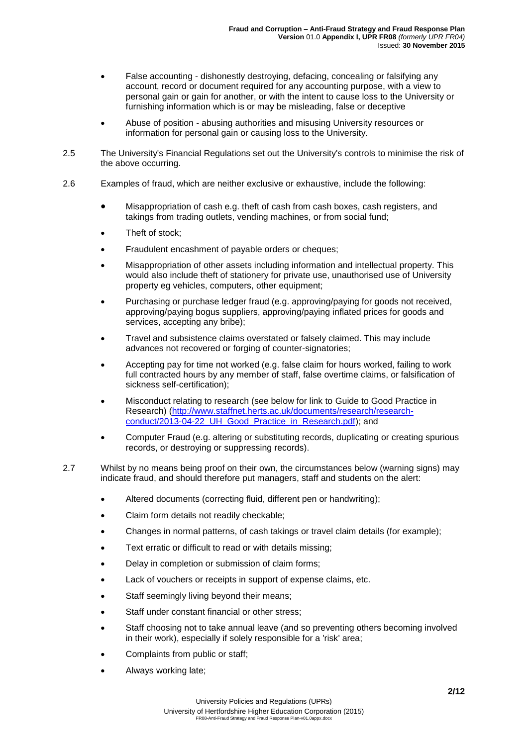- False accounting dishonestly destroying, defacing, concealing or falsifying any account, record or document required for any accounting purpose, with a view to personal gain or gain for another, or with the intent to cause loss to the University or furnishing information which is or may be misleading, false or deceptive
- Abuse of position abusing authorities and misusing University resources or information for personal gain or causing loss to the University.
- 2.5 The University's Financial Regulations set out the University's controls to minimise the risk of the above occurring.
- 2.6 Examples of fraud, which are neither exclusive or exhaustive, include the following:
	- Misappropriation of cash e.g. theft of cash from cash boxes, cash registers, and takings from trading outlets, vending machines, or from social fund;
	- Theft of stock;
	- Fraudulent encashment of payable orders or cheques;
	- Misappropriation of other assets including information and intellectual property. This would also include theft of stationery for private use, unauthorised use of University property eg vehicles, computers, other equipment;
	- Purchasing or purchase ledger fraud (e.g. approving/paying for goods not received, approving/paying bogus suppliers, approving/paying inflated prices for goods and services, accepting any bribe);
	- Travel and subsistence claims overstated or falsely claimed. This may include advances not recovered or forging of counter-signatories;
	- Accepting pay for time not worked (e.g. false claim for hours worked, failing to work full contracted hours by any member of staff, false overtime claims, or falsification of sickness self-certification);
	- Misconduct relating to research (see below for link to Guide to Good Practice in Research) [\(http://www.staffnet.herts.ac.uk/documents/research/research](http://www.staffnet.herts.ac.uk/documents/research/research-conduct/2013-04-22_UH_Good_Practice_in_Research.pdf)[conduct/2013-04-22\\_UH\\_Good\\_Practice\\_in\\_Research.pdf\)](http://www.staffnet.herts.ac.uk/documents/research/research-conduct/2013-04-22_UH_Good_Practice_in_Research.pdf); and
	- Computer Fraud (e.g. altering or substituting records, duplicating or creating spurious records, or destroying or suppressing records).
- 2.7 Whilst by no means being proof on their own, the circumstances below (warning signs) may indicate fraud, and should therefore put managers, staff and students on the alert:
	- Altered documents (correcting fluid, different pen or handwriting);
	- Claim form details not readily checkable;
	- Changes in normal patterns, of cash takings or travel claim details (for example);
	- Text erratic or difficult to read or with details missing;
	- Delay in completion or submission of claim forms;
	- Lack of vouchers or receipts in support of expense claims, etc.
	- Staff seemingly living beyond their means;
	- Staff under constant financial or other stress;
	- Staff choosing not to take annual leave (and so preventing others becoming involved in their work), especially if solely responsible for a 'risk' area;
	- Complaints from public or staff;
	- Always working late;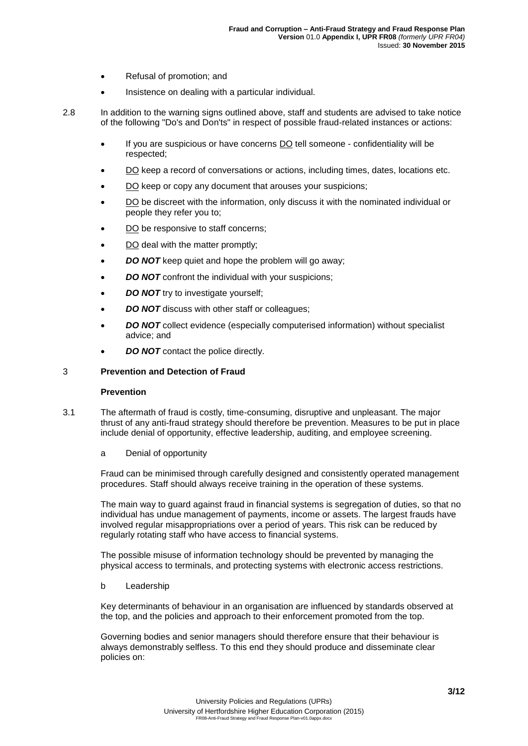- Refusal of promotion: and
- Insistence on dealing with a particular individual.
- 2.8 In addition to the warning signs outlined above, staff and students are advised to take notice of the following "Do's and Don'ts" in respect of possible fraud-related instances or actions:
	- If you are suspicious or have concerns DO tell someone confidentiality will be respected;
	- DO keep a record of conversations or actions, including times, dates, locations etc.
	- DO keep or copy any document that arouses your suspicions;
	- DO be discreet with the information, only discuss it with the nominated individual or people they refer you to;
	- DO be responsive to staff concerns;
	- DO deal with the matter promptly;
	- *DO NOT* keep quiet and hope the problem will go away;
	- *DO NOT* confront the individual with your suspicions;
	- *DO NOT* try to investigate yourself;
	- *DO NOT* discuss with other staff or colleagues;
	- *DO NOT* collect evidence (especially computerised information) without specialist advice; and
	- *DO NOT* contact the police directly.

#### 3 **Prevention and Detection of Fraud**

### **Prevention**

- 3.1 The aftermath of fraud is costly, time-consuming, disruptive and unpleasant. The major thrust of any anti-fraud strategy should therefore be prevention. Measures to be put in place include denial of opportunity, effective leadership, auditing, and employee screening.
	- a Denial of opportunity

Fraud can be minimised through carefully designed and consistently operated management procedures. Staff should always receive training in the operation of these systems.

The main way to guard against fraud in financial systems is segregation of duties, so that no individual has undue management of payments, income or assets. The largest frauds have involved regular misappropriations over a period of years. This risk can be reduced by regularly rotating staff who have access to financial systems.

The possible misuse of information technology should be prevented by managing the physical access to terminals, and protecting systems with electronic access restrictions.

#### b Leadership

Key determinants of behaviour in an organisation are influenced by standards observed at the top, and the policies and approach to their enforcement promoted from the top.

Governing bodies and senior managers should therefore ensure that their behaviour is always demonstrably selfless. To this end they should produce and disseminate clear policies on: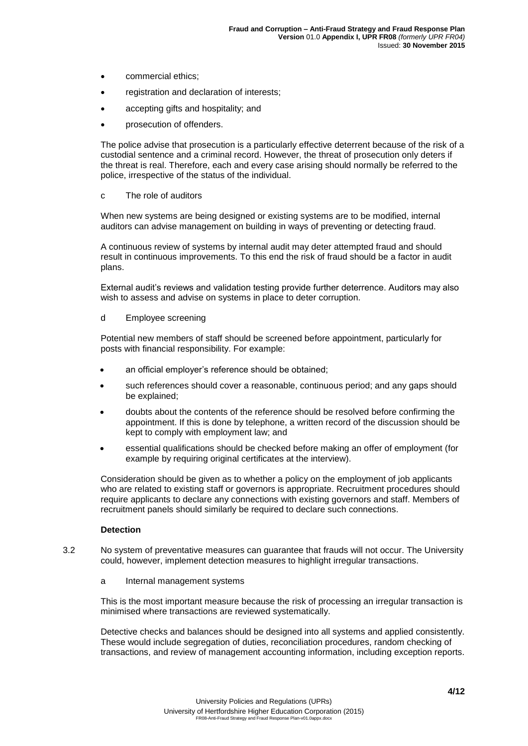- commercial ethics:
- registration and declaration of interests;
- accepting gifts and hospitality; and
- prosecution of offenders.

The police advise that prosecution is a particularly effective deterrent because of the risk of a custodial sentence and a criminal record. However, the threat of prosecution only deters if the threat is real. Therefore, each and every case arising should normally be referred to the police, irrespective of the status of the individual.

c The role of auditors

When new systems are being designed or existing systems are to be modified, internal auditors can advise management on building in ways of preventing or detecting fraud.

A continuous review of systems by internal audit may deter attempted fraud and should result in continuous improvements. To this end the risk of fraud should be a factor in audit plans.

External audit's reviews and validation testing provide further deterrence. Auditors may also wish to assess and advise on systems in place to deter corruption.

#### d Employee screening

Potential new members of staff should be screened before appointment, particularly for posts with financial responsibility. For example:

- an official employer's reference should be obtained;
- such references should cover a reasonable, continuous period; and any gaps should be explained;
- doubts about the contents of the reference should be resolved before confirming the appointment. If this is done by telephone, a written record of the discussion should be kept to comply with employment law; and
- essential qualifications should be checked before making an offer of employment (for example by requiring original certificates at the interview).

Consideration should be given as to whether a policy on the employment of job applicants who are related to existing staff or governors is appropriate. Recruitment procedures should require applicants to declare any connections with existing governors and staff. Members of recruitment panels should similarly be required to declare such connections.

#### **Detection**

- 3.2 No system of preventative measures can guarantee that frauds will not occur. The University could, however, implement detection measures to highlight irregular transactions.
	- a Internal management systems

This is the most important measure because the risk of processing an irregular transaction is minimised where transactions are reviewed systematically.

Detective checks and balances should be designed into all systems and applied consistently. These would include segregation of duties, reconciliation procedures, random checking of transactions, and review of management accounting information, including exception reports.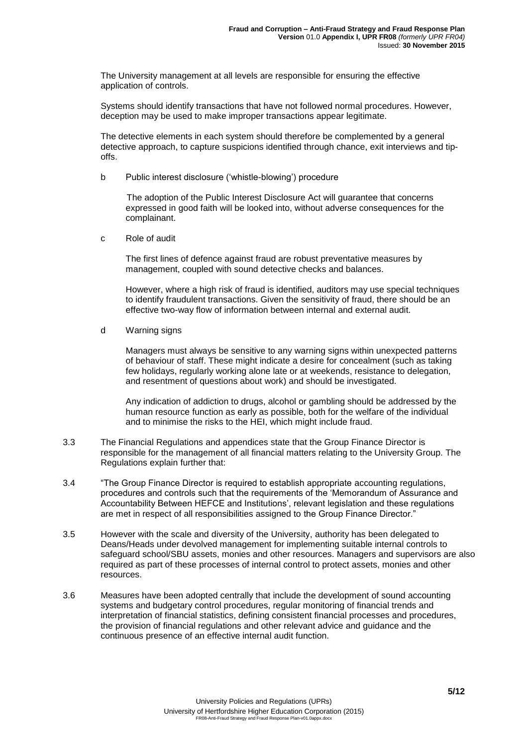The University management at all levels are responsible for ensuring the effective application of controls.

Systems should identify transactions that have not followed normal procedures. However, deception may be used to make improper transactions appear legitimate.

The detective elements in each system should therefore be complemented by a general detective approach, to capture suspicions identified through chance, exit interviews and tipoffs.

b Public interest disclosure ('whistle-blowing') procedure

The adoption of the Public Interest Disclosure Act will guarantee that concerns expressed in good faith will be looked into, without adverse consequences for the complainant.

c Role of audit

The first lines of defence against fraud are robust preventative measures by management, coupled with sound detective checks and balances.

However, where a high risk of fraud is identified, auditors may use special techniques to identify fraudulent transactions. Given the sensitivity of fraud, there should be an effective two-way flow of information between internal and external audit.

d Warning signs

Managers must always be sensitive to any warning signs within unexpected patterns of behaviour of staff. These might indicate a desire for concealment (such as taking few holidays, regularly working alone late or at weekends, resistance to delegation, and resentment of questions about work) and should be investigated.

Any indication of addiction to drugs, alcohol or gambling should be addressed by the human resource function as early as possible, both for the welfare of the individual and to minimise the risks to the HEI, which might include fraud.

- 3.3 The Financial Regulations and appendices state that the Group Finance Director is responsible for the management of all financial matters relating to the University Group. The Regulations explain further that:
- 3.4 "The Group Finance Director is required to establish appropriate accounting regulations, procedures and controls such that the requirements of the 'Memorandum of Assurance and Accountability Between HEFCE and Institutions', relevant legislation and these regulations are met in respect of all responsibilities assigned to the Group Finance Director."
- 3.5 However with the scale and diversity of the University, authority has been delegated to Deans/Heads under devolved management for implementing suitable internal controls to safeguard school/SBU assets, monies and other resources. Managers and supervisors are also required as part of these processes of internal control to protect assets, monies and other resources.
- 3.6 Measures have been adopted centrally that include the development of sound accounting systems and budgetary control procedures, regular monitoring of financial trends and interpretation of financial statistics, defining consistent financial processes and procedures, the provision of financial regulations and other relevant advice and guidance and the continuous presence of an effective internal audit function.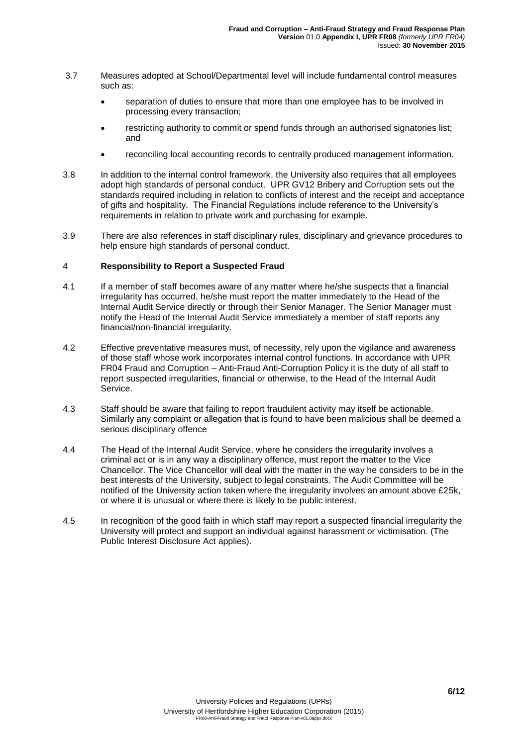- 3.7 Measures adopted at School/Departmental level will include fundamental control measures such as:
	- separation of duties to ensure that more than one employee has to be involved in processing every transaction;
	- restricting authority to commit or spend funds through an authorised signatories list; and
	- reconciling local accounting records to centrally produced management information.
- 3.8 In addition to the internal control framework, the University also requires that all employees adopt high standards of personal conduct. UPR GV12 Bribery and Corruption sets out the standards required including in relation to conflicts of interest and the receipt and acceptance of gifts and hospitality. The Financial Regulations include reference to the University's requirements in relation to private work and purchasing for example.
- 3.9 There are also references in staff disciplinary rules, disciplinary and grievance procedures to help ensure high standards of personal conduct.

#### 4 **Responsibility to Report a Suspected Fraud**

- 4.1 If a member of staff becomes aware of any matter where he/she suspects that a financial irregularity has occurred, he/she must report the matter immediately to the Head of the Internal Audit Service directly or through their Senior Manager. The Senior Manager must notify the Head of the Internal Audit Service immediately a member of staff reports any financial/non-financial irregularity.
- 4.2 Effective preventative measures must, of necessity, rely upon the vigilance and awareness of those staff whose work incorporates internal control functions. In accordance with UPR FR04 Fraud and Corruption – Anti-Fraud Anti-Corruption Policy it is the duty of all staff to report suspected irregularities, financial or otherwise, to the Head of the Internal Audit Service.
- 4.3 Staff should be aware that failing to report fraudulent activity may itself be actionable. Similarly any complaint or allegation that is found to have been malicious shall be deemed a serious disciplinary offence
- 4.4 The Head of the Internal Audit Service, where he considers the irregularity involves a criminal act or is in any way a disciplinary offence, must report the matter to the Vice Chancellor. The Vice Chancellor will deal with the matter in the way he considers to be in the best interests of the University, subject to legal constraints. The Audit Committee will be notified of the University action taken where the irregularity involves an amount above £25k, or where it is unusual or where there is likely to be public interest.
- 4.5 In recognition of the good faith in which staff may report a suspected financial irregularity the University will protect and support an individual against harassment or victimisation. (The Public Interest Disclosure Act applies).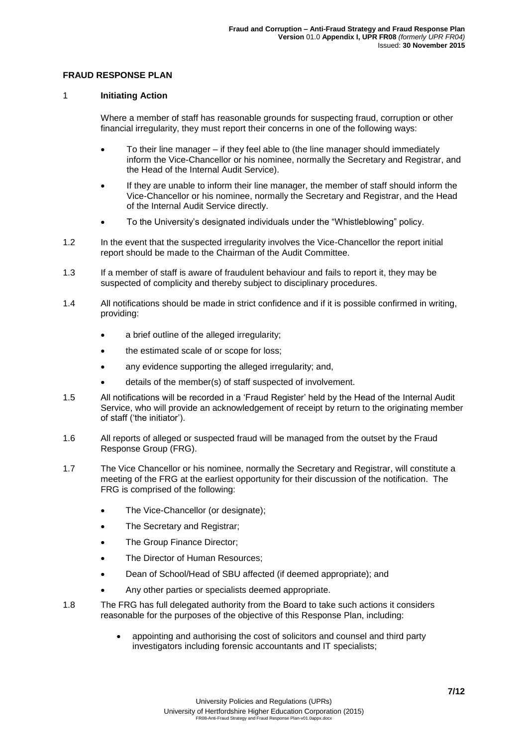## **FRAUD RESPONSE PLAN**

## 1 **Initiating Action**

Where a member of staff has reasonable grounds for suspecting fraud, corruption or other financial irregularity, they must report their concerns in one of the following ways:

- To their line manager if they feel able to (the line manager should immediately inform the Vice-Chancellor or his nominee, normally the Secretary and Registrar, and the Head of the Internal Audit Service).
- If they are unable to inform their line manager, the member of staff should inform the Vice-Chancellor or his nominee, normally the Secretary and Registrar, and the Head of the Internal Audit Service directly.
- To the University's designated individuals under the "Whistleblowing" policy.
- 1.2 In the event that the suspected irregularity involves the Vice-Chancellor the report initial report should be made to the Chairman of the Audit Committee.
- 1.3 If a member of staff is aware of fraudulent behaviour and fails to report it, they may be suspected of complicity and thereby subject to disciplinary procedures.
- 1.4 All notifications should be made in strict confidence and if it is possible confirmed in writing, providing:
	- a brief outline of the alleged irregularity;
	- the estimated scale of or scope for loss;
	- any evidence supporting the alleged irregularity; and,
	- details of the member(s) of staff suspected of involvement.
- 1.5 All notifications will be recorded in a 'Fraud Register' held by the Head of the Internal Audit Service, who will provide an acknowledgement of receipt by return to the originating member of staff ('the initiator').
- 1.6 All reports of alleged or suspected fraud will be managed from the outset by the Fraud Response Group (FRG).
- 1.7 The Vice Chancellor or his nominee, normally the Secretary and Registrar, will constitute a meeting of the FRG at the earliest opportunity for their discussion of the notification. The FRG is comprised of the following:
	- The Vice-Chancellor (or designate);
	- The Secretary and Registrar;
	- The Group Finance Director;
	- The Director of Human Resources;
	- Dean of School/Head of SBU affected (if deemed appropriate); and
	- Any other parties or specialists deemed appropriate.
- 1.8 The FRG has full delegated authority from the Board to take such actions it considers reasonable for the purposes of the objective of this Response Plan, including:
	- appointing and authorising the cost of solicitors and counsel and third party investigators including forensic accountants and IT specialists;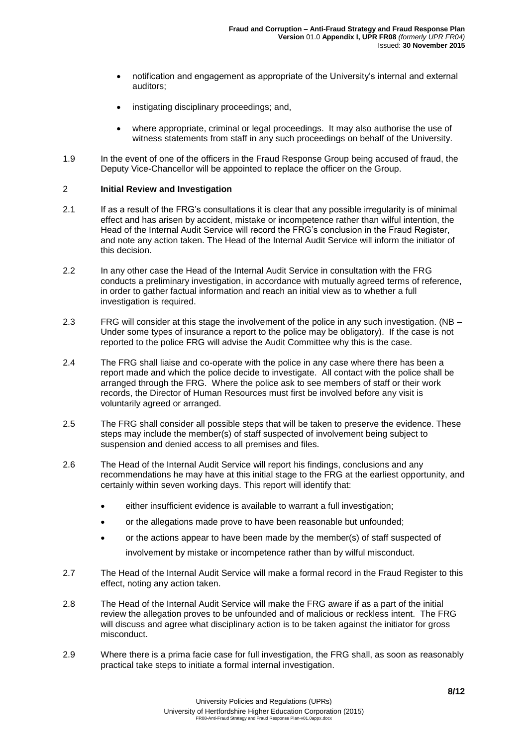- notification and engagement as appropriate of the University's internal and external auditors;
- instigating disciplinary proceedings; and,
- where appropriate, criminal or legal proceedings. It may also authorise the use of witness statements from staff in any such proceedings on behalf of the University.
- 1.9 In the event of one of the officers in the Fraud Response Group being accused of fraud, the Deputy Vice-Chancellor will be appointed to replace the officer on the Group.

## 2 **Initial Review and Investigation**

- 2.1 If as a result of the FRG's consultations it is clear that any possible irregularity is of minimal effect and has arisen by accident, mistake or incompetence rather than wilful intention, the Head of the Internal Audit Service will record the FRG's conclusion in the Fraud Register, and note any action taken. The Head of the Internal Audit Service will inform the initiator of this decision.
- 2.2 In any other case the Head of the Internal Audit Service in consultation with the FRG conducts a preliminary investigation, in accordance with mutually agreed terms of reference, in order to gather factual information and reach an initial view as to whether a full investigation is required.
- 2.3 FRG will consider at this stage the involvement of the police in any such investigation. (NB Under some types of insurance a report to the police may be obligatory). If the case is not reported to the police FRG will advise the Audit Committee why this is the case.
- 2.4 The FRG shall liaise and co-operate with the police in any case where there has been a report made and which the police decide to investigate. All contact with the police shall be arranged through the FRG. Where the police ask to see members of staff or their work records, the Director of Human Resources must first be involved before any visit is voluntarily agreed or arranged.
- 2.5 The FRG shall consider all possible steps that will be taken to preserve the evidence. These steps may include the member(s) of staff suspected of involvement being subject to suspension and denied access to all premises and files.
- 2.6 The Head of the Internal Audit Service will report his findings, conclusions and any recommendations he may have at this initial stage to the FRG at the earliest opportunity, and certainly within seven working days. This report will identify that:
	- either insufficient evidence is available to warrant a full investigation;
	- or the allegations made prove to have been reasonable but unfounded;
	- or the actions appear to have been made by the member(s) of staff suspected of
		- involvement by mistake or incompetence rather than by wilful misconduct.
- 2.7 The Head of the Internal Audit Service will make a formal record in the Fraud Register to this effect, noting any action taken.
- 2.8 The Head of the Internal Audit Service will make the FRG aware if as a part of the initial review the allegation proves to be unfounded and of malicious or reckless intent. The FRG will discuss and agree what disciplinary action is to be taken against the initiator for gross misconduct.
- 2.9 Where there is a prima facie case for full investigation, the FRG shall, as soon as reasonably practical take steps to initiate a formal internal investigation.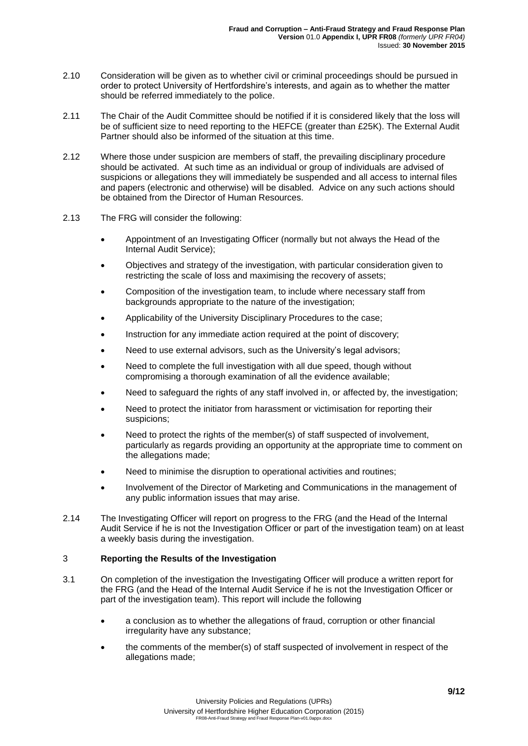- 2.10 Consideration will be given as to whether civil or criminal proceedings should be pursued in order to protect University of Hertfordshire's interests, and again as to whether the matter should be referred immediately to the police.
- 2.11 The Chair of the Audit Committee should be notified if it is considered likely that the loss will be of sufficient size to need reporting to the HEFCE (greater than £25K). The External Audit Partner should also be informed of the situation at this time.
- 2.12 Where those under suspicion are members of staff, the prevailing disciplinary procedure should be activated. At such time as an individual or group of individuals are advised of suspicions or allegations they will immediately be suspended and all access to internal files and papers (electronic and otherwise) will be disabled. Advice on any such actions should be obtained from the Director of Human Resources.
- 2.13 The FRG will consider the following:
	- Appointment of an Investigating Officer (normally but not always the Head of the Internal Audit Service);
	- Objectives and strategy of the investigation, with particular consideration given to restricting the scale of loss and maximising the recovery of assets;
	- Composition of the investigation team, to include where necessary staff from backgrounds appropriate to the nature of the investigation;
	- Applicability of the University Disciplinary Procedures to the case;
	- Instruction for any immediate action required at the point of discovery;
	- Need to use external advisors, such as the University's legal advisors;
	- Need to complete the full investigation with all due speed, though without compromising a thorough examination of all the evidence available;
	- Need to safeguard the rights of any staff involved in, or affected by, the investigation;
	- Need to protect the initiator from harassment or victimisation for reporting their suspicions;
	- Need to protect the rights of the member(s) of staff suspected of involvement, particularly as regards providing an opportunity at the appropriate time to comment on the allegations made;
	- Need to minimise the disruption to operational activities and routines;
	- Involvement of the Director of Marketing and Communications in the management of any public information issues that may arise.
- 2.14 The Investigating Officer will report on progress to the FRG (and the Head of the Internal Audit Service if he is not the Investigation Officer or part of the investigation team) on at least a weekly basis during the investigation.

## 3 **Reporting the Results of the Investigation**

- 3.1 On completion of the investigation the Investigating Officer will produce a written report for the FRG (and the Head of the Internal Audit Service if he is not the Investigation Officer or part of the investigation team). This report will include the following
	- a conclusion as to whether the allegations of fraud, corruption or other financial irregularity have any substance;
	- the comments of the member(s) of staff suspected of involvement in respect of the allegations made;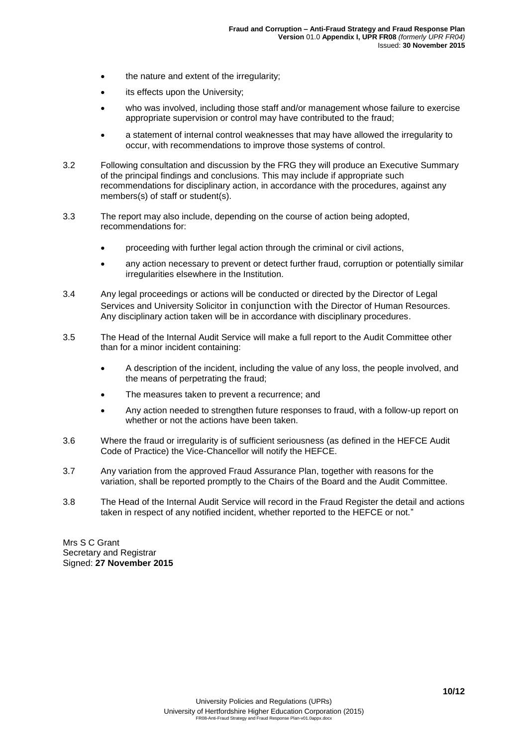- the nature and extent of the irregularity:
- its effects upon the University;
- who was involved, including those staff and/or management whose failure to exercise appropriate supervision or control may have contributed to the fraud;
- a statement of internal control weaknesses that may have allowed the irregularity to occur, with recommendations to improve those systems of control.
- 3.2 Following consultation and discussion by the FRG they will produce an Executive Summary of the principal findings and conclusions. This may include if appropriate such recommendations for disciplinary action, in accordance with the procedures, against any members(s) of staff or student(s).
- 3.3 The report may also include, depending on the course of action being adopted, recommendations for:
	- proceeding with further legal action through the criminal or civil actions,
	- any action necessary to prevent or detect further fraud, corruption or potentially similar irregularities elsewhere in the Institution.
- 3.4 Any legal proceedings or actions will be conducted or directed by the Director of Legal Services and University Solicitor in conjunction with the Director of Human Resources. Any disciplinary action taken will be in accordance with disciplinary procedures.
- 3.5 The Head of the Internal Audit Service will make a full report to the Audit Committee other than for a minor incident containing:
	- A description of the incident, including the value of any loss, the people involved, and the means of perpetrating the fraud;
	- The measures taken to prevent a recurrence; and
	- Any action needed to strengthen future responses to fraud, with a follow-up report on whether or not the actions have been taken.
- 3.6 Where the fraud or irregularity is of sufficient seriousness (as defined in the HEFCE Audit Code of Practice) the Vice-Chancellor will notify the HEFCE.
- 3.7 Any variation from the approved Fraud Assurance Plan, together with reasons for the variation, shall be reported promptly to the Chairs of the Board and the Audit Committee.
- 3.8 The Head of the Internal Audit Service will record in the Fraud Register the detail and actions taken in respect of any notified incident, whether reported to the HEFCE or not."

Mrs S C Grant Secretary and Registrar Signed: **27 November 2015**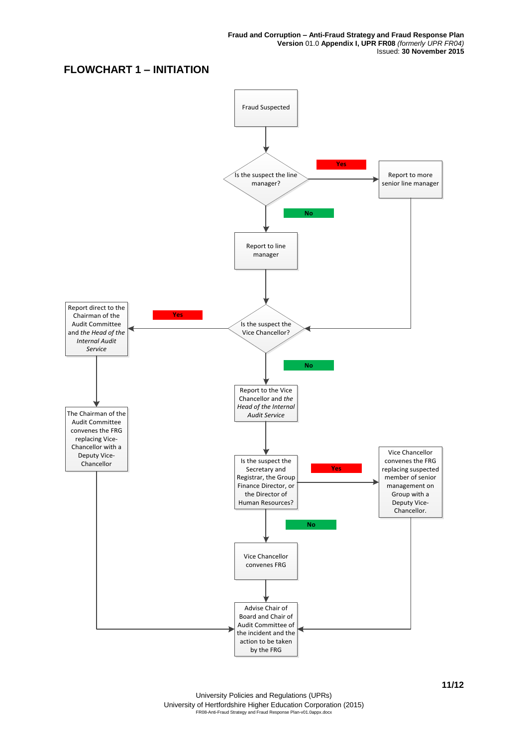# **FLOWCHART 1 – INITIATION**